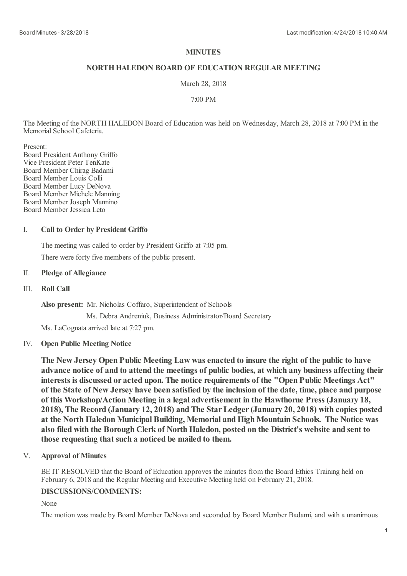## **MINUTES**

## **NORTHHALEDON BOARD OF EDUCATION REGULAR MEETING**

### March 28, 2018

### 7:00 PM

The Meeting of the NORTH HALEDON Board of Education was held on Wednesday, March 28, 2018 at 7:00 PM in the Memorial School Cafeteria.

Present:

Board President Anthony Griffo Vice President Peter TenKate Board Member Chirag Badami Board Member Louis Colli Board Member Lucy DeNova Board Member Michele Manning Board Member Joseph Mannino Board Member Jessica Leto

#### I. **Call to Order by President Griffo**

The meeting was called to order by President Griffo at 7:05 pm. There were forty five members of the public present.

## II. **Pledge of Allegiance**

#### III. **Roll Call**

**Also present:** Mr. Nicholas Coffaro, Superintendent of Schools

Ms. Debra Andreniuk, Business Administrator/Board Secretary

Ms. LaCognata arrived late at 7:27 pm.

# IV. **Open Public Meeting Notice**

**The New Jersey Open Public Meeting Law wasenacted to insure the right of the public to have advance notice of and to attend the meetings of public bodies, at which any business affecting their interests is discussed or acted upon. The notice requirements of the "Open Public Meetings Act"** of the State of New Jersey have been satisfied by the inclusion of the date, time, place and purpose **of this Workshop/Action Meeting in a legal advertisement in the Hawthorne Press (January 18, 2018), The Record (January 12, 2018) and The StarLedger(January 20, 2018) with copies posted at the NorthHaledon Municipal Building, Memorial andHigh Mountain Schools. The Notice was also filed with the Borough Clerk of NorthHaledon, posted on the District's website and sent to those requesting that such a noticed be mailed to them.**

#### V. **Approval of Minutes**

BE IT RESOLVED that the Board of Education approves the minutes from the Board Ethics Training held on February 6, 2018 and the Regular Meeting and Executive Meeting held on February 21, 2018.

## **DISCUSSIONS/COMMENTS:**

None

The motion was made by Board Member DeNova and seconded by Board Member Badami, and with a unanimous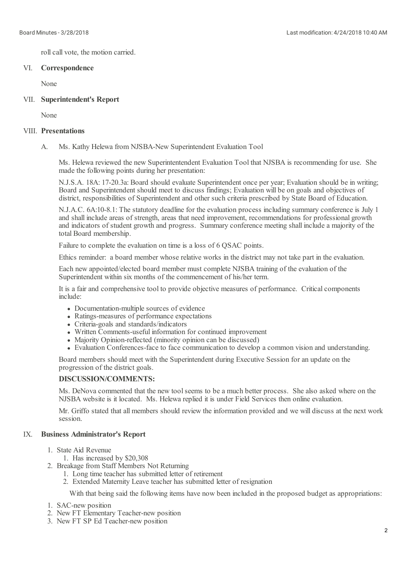roll call vote, the motion carried.

# VI. **Correspondence**

None

# VII. **Superintendent's Report**

None

## VIII. **Presentations**

A. Ms. Kathy Helewa from NJSBA-New Superintendent Evaluation Tool

Ms. Helewa reviewed the new Superintentendent Evaluation Tool that NJSBA is recommending for use. She made the following points during her presentation:

N.J.S.A. 18A: 17-20.3a: Board should evaluate Superintendent once per year; Evaluation should be in writing; Board and Superintendent should meet to discuss findings; Evaluation will be on goals and objectives of district, responsibilities of Superintendent and other such criteria prescribed by State Board of Education.

N.J.A.C. 6A:10-8.1: The statutory deadline for the evaluation process including summary conference is July 1 and shall include areas of strength, areas that need improvement, recommendations for professional growth and indicators of student growth and progress. Summary conference meeting shall include a majority of the total Board membership.

Failure to complete the evaluation on time is a loss of 6 QSAC points.

Ethics reminder: a board member whose relative works in the district may not take part in the evaluation.

Each new appointed/elected board member must complete NJSBA training of the evaluation of the Superintendent within six months of the commencement of his/her term.

It is a fair and comprehensive tool to provide objective measures of performance. Critical components include:

- Documentation-multiple sources of evidence
- Ratings-measures of performance expectations
- Criteria-goals and standards/indicators
- Written Comments-useful information for continued improvement
- Majority Opinion-reflected (minority opinion can be discussed)
- Evaluation Conferences-face to face communication to develop a common vision and understanding.

Board members should meet with the Superintendent during Executive Session for an update on the progression of the district goals.

## **DISCUSSION/COMMENTS:**

Ms. DeNova commented that the new tool seems to be a much better process. She also asked where on the NJSBA website is it located. Ms. Helewa replied it is under Field Services then online evaluation.

Mr. Griffo stated that all members should review the information provided and we will discuss at the next work session.

#### IX. **Business Administrator's Report**

1. State Aid Revenue

1. Has increased by \$20,308

- 2. Breakage from Staff Members Not Returning
	- 1. Long time teacher has submitted letter of retirement
	- 2. Extended Maternity Leave teacher has submitted letter of resignation

With that being said the following items have now been included in the proposed budget as appropriations:

- 1. SAC-new position
- 2. New FT Elementary Teacher-new position
- 3. New FT SP Ed Teacher-new position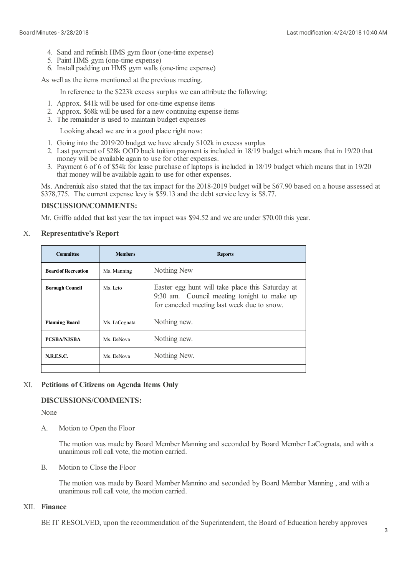- 4. Sand and refinish HMS gym floor (one-time expense)
- 5. Paint HMS gym (one-time expense)
- 6. Install padding on HMS gym walls (one-time expense)

As well as the items mentioned at the previous meeting.

In reference to the \$223k excess surplus we can attribute the following:

- 1. Approx. \$41k will be used for one-time expense items
- 2. Approx. \$68k will be used for a new continuing expense items
- 3. The remainder is used to maintain budget expenses

Looking ahead we are in a good place right now:

- 1. Going into the 2019/20 budget we have already \$102k in excess surplus
- 2. Last payment of \$28k OOD back tuition payment is included in 18/19 budget which means that in 19/20 that money will be available again to use for other expenses.
- 3. Payment 6 of 6 of \$54k for lease purchase of laptops is included in 18/19 budget which means that in 19/20 that money will be available again to use for other expenses.

Ms. Andreniuk also stated that the tax impact for the 2018-2019 budget will be \$67.90 based on a house assessed at \$378,775. The current expense levy is \$59.13 and the debt service levy is \$8.77.

# **DISCUSSION/COMMENTS:**

Mr. Griffo added that last year the tax impact was \$94.52 and we are under \$70.00 this year.

#### X. **Representative's Report**

| <b>Committee</b>           | <b>Members</b> | <b>Reports</b>                                                                                                                                 |
|----------------------------|----------------|------------------------------------------------------------------------------------------------------------------------------------------------|
| <b>Board of Recreation</b> | Ms. Manning    | Nothing New                                                                                                                                    |
| <b>Borough Council</b>     | Ms. Leto       | Easter egg hunt will take place this Saturday at<br>9:30 am. Council meeting tonight to make up<br>for canceled meeting last week due to snow. |
| <b>Planning Board</b>      | Ms. LaCognata  | Nothing new.                                                                                                                                   |
| <b>PCSBA/NJSBA</b>         | Ms. DeNova     | Nothing new.                                                                                                                                   |
| N.R.E.S.C.                 | Ms. DeNova     | Nothing New.                                                                                                                                   |
|                            |                |                                                                                                                                                |

#### XI. **Petitions of Citizens on Agenda Items Only**

## **DISCUSSIONS/COMMENTS:**

None

A. Motion to Open the Floor

> The motion was made by Board Member Manning and seconded by Board Member LaCognata, and with a unanimous roll call vote, the motion carried.

B. Motion to Close the Floor

> The motion was made by Board Member Mannino and seconded by Board Member Manning , and with a unanimous roll call vote, the motion carried.

# XII. **Finance**

BE IT RESOLVED, upon the recommendation of the Superintendent, the Board of Education hereby approves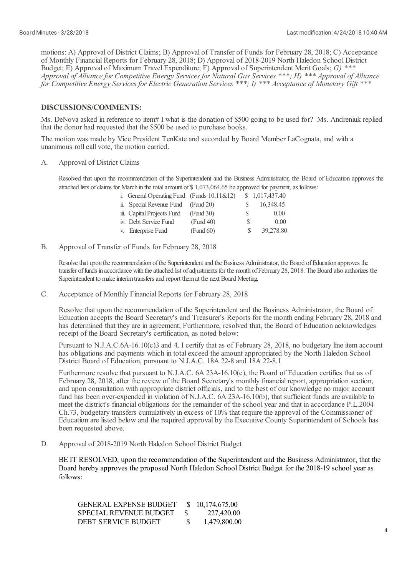motions: A) Approval of District Claims; B) Approval of Transfer of Funds for February 28, 2018; C) Acceptance of Monthly Financial Reports for February 28, 2018; D) Approval of 2018-2019 North Haledon School District Budget; E) Approval of Maximum Travel Expenditure; F) Approval of Superintendent Merit Goals; *G) \*\*\** Approval of Alliance for Competitive Energy Services for Natural Gas Services \*\*\*; H) \*\*\* Approval of Alliance *for Competitive Energy Services for Electric Generation Services \*\*\*; I) \*\*\* Acceptance of Monetary Gift \*\*\**

### **DISCUSSIONS/COMMENTS:**

Ms. DeNova asked in reference to item# I what is the donation of \$500 going to be used for? Ms. Andreniuk replied that the donor had requested that the \$500 be used to purchase books.

The motion was made by Vice President TenKate and seconded by Board Member LaCognata, and with a unanimous roll call vote, the motion carried.

A. Approval of District Claims

> Resolved that upon the recommendation of the Superintendent and the Business Administrator, the Board of Education approves the attached lists of claims for March in the total amount of \$1,073,064.65 be approved for payment, as follows:

| i. General Operating Fund (Funds $10,11 \& 12$ ) |           |    | \$1,017,437.40 |
|--------------------------------------------------|-----------|----|----------------|
| ii. Special Revenue Fund                         | (Fund 20) |    | 16,348.45      |
| iii. Capital Projects Fund                       | (Fund 30) | S  | 0.00           |
| iv. Debt Service Fund                            | (Fund 40) | S  | 0.00           |
| v. Enterprise Fund                               | (Fund 60) | S. | 39,278.80      |

B. Approval of Transfer of Funds for February 28, 2018

> Resolve that upon the recommendation of the Superintendent and the Business Administrator, the Board of Education approves the transfer of funds in accordance with the attached list of adjustments for the month of February 28, 2018. The Board also authorizes the Superintendent to make interim transfers and report them at the next Board Meeting.

C. Acceptance of Monthly Financial Reports for February 28, 2018

Resolve that upon the recommendation of the Superintendent and the Business Administrator, the Board of Education accepts the Board Secretary's and Treasurer's Reports for the month ending February 28, 2018 and has determined that they are in agreement; Furthermore, resolved that, the Board of Education acknowledges receipt of the Board Secretary's certification, as noted below:

Pursuant to N.J.A.C.6A-16.10(c)3 and 4, I certify that as of February 28, 2018, no budgetary line item account has obligations and payments which in totalexceed the amount appropriated by the North Haledon School District Board of Education, pursuant to N.J.A.C. 18A 22-8 and 18A 22-8.1

Furthermore resolve that pursuant to N.J.A.C. 6A 23A-16.10(c), the Board of Education certifies that as of February 28, 2018, after the review of the Board Secretary's monthly financial report, appropriation section, and upon consultation with appropriate district officials, and to the best of our knowledge no major account fund has been over-expended in violation of N.J.A.C. 6A 23A-16.10(b), that sufficient funds are available to meet the district's financial obligations for the remainder of the school year and that in accordance P.L.2004 Ch.73, budgetary transfers cumulatively in excess of 10% that require the approval of the Commissioner of Education are listed below and the required approval by the Executive County Superintendent of Schools has been requested above.

D. Approval of 2018-2019 North Haledon School District Budget

BE IT RESOLVED, upon the recommendation of the Superintendent and the Business Administrator, that the Board hereby approves the proposed North Haledon School District Budget for the 2018-19 school year as follows:

| <b>GENERAL EXPENSE BUDGET</b> | S. | 10,174,675.00 |
|-------------------------------|----|---------------|
| <b>SPECIAL REVENUE BUDGET</b> |    | 227,420.00    |
| DEBT SERVICE BUDGET           | S. | 1,479,800.00  |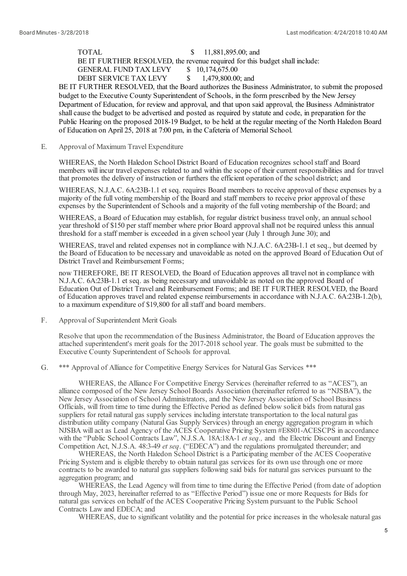TOTAL \$ 11,881,895.00; and BE IT FURTHER RESOLVED, the revenue required for this budget shall include:

GENERAL FUND TAX LEVY \$ 10,174,675.00<br>DEBT SERVICE TAX LEVY \$ 1.479.800.00: and DEBT SERVICE TAX LEVY

BE IT FURTHER RESOLVED, that the Board authorizes the Business Administrator, to submit the proposed budget to the Executive County Superintendent of Schools, in the form prescribed by the New Jersey Department of Education, for review and approval, and that upon said approval, the Business Administrator shallcause the budget to be advertised and posted as required by statute and code, in preparation for the Public Hearing on the proposed 2018-19 Budget, to be held at the regular meeting of the North Haledon Board of Education on April 25, 2018 at 7:00 pm, in the Cafeteria of Memorial School.

E. Approval of Maximum Travel Expenditure

> WHEREAS, the North Haledon School District Board of Education recognizes school staff and Board members will incur travel expenses related to and within the scope of their current responsibilities and for travel that promotes the delivery of instruction or furthers the efficient operation of the school district; and

> WHEREAS, N.J.A.C. 6A:23B-1.1 et seq. requires Board members to receive approval of these expenses by a majority of the full voting membership of the Board and staff members to receive prior approval of these expenses by the Superintendent of Schools and a majority of the full voting membership of the Board; and

WHEREAS, a Board of Education may establish, for regular district business travel only, an annual school year threshold of \$150 per staff member where prior Board approval shall not be required unless this annual threshold for a staff member is exceeded in a given school year (July 1 through June 30); and

WHEREAS, travel and related expenses not in compliance with N.J.A.C. 6A:23B-1.1 et seq., but deemed by the Board of Education to be necessary and unavoidable as noted on the approved Board of Education Out of District Travel and Reimbursement Forms:

now THEREFORE, BE IT RESOLVED, the Board of Education approves all travel not in compliance with N.J.A.C. 6A:23B-1.1 et seq. as being necessary and unavoidable as noted on the approved Board of Education Out of District Traveland Reimbursement Forms; and BE IT FURTHER RESOLVED, the Board of Education approves traveland related expense reimbursements in accordance with N.J.A.C. 6A:23B-1.2(b), to a maximum expenditure of \$19,800 for all staff and board members.

F. Approval of Superintendent Merit Goals

> Resolve that upon the recommendation of the Business Administrator, the Board of Education approves the attached superintendent's merit goals for the 2017-2018 school year. The goals must be submitted to the Executive County Superintendent of Schools for approval.

G. \*\*\* Approval of Alliance for Competitive Energy Services for Natural Gas Services \*\*\*

WHEREAS, the Alliance For Competitive Energy Services (hereinafter referred to as "ACES"), an alliance composed of the New Jersey School Boards Association (hereinafter referred to as "NJSBA"), the New Jersey Association of School Administrators, and the New Jersey Association of School Business Officials, will from time to time during the Effective Period as defined below solicit bids from natural gas suppliers for retail natural gas supply services including interstate transportation to the local natural gas distribution utility company (Natural Gas Supply Services) through an energy aggregation program in which NJSBA willact as Lead Agency of the ACES Cooperative Pricing System #E8801-ACESCPS in accordance with the "Public School Contracts Law", N.J.S.A*.* 18A:18A-1 *et seq.,* and the Electric Discount and Energy Competition Act, N.J.S.A. 48:3-49 *et seq*. ("EDECA") and the regulations promulgated thereunder; and

WHEREAS, the North Haledon School District is a Participating member of the ACES Cooperative Pricing System and is eligible thereby to obtain natural gas services for its own use through one or more contracts to be awarded to natural gas suppliers following said bids for natural gas services pursuant to the aggregation program; and

WHEREAS, the Lead Agency will from time to time during the Effective Period (from date of adoption through May, 2023, hereinafter referred to as "Effective Period") issue one or more Requests for Bids for natural gas services on behalf of the ACES Cooperative Pricing System pursuant to the Public School Contracts Law and EDECA; and

WHEREAS, due to significant volatility and the potential for price increases in the wholesale natural gas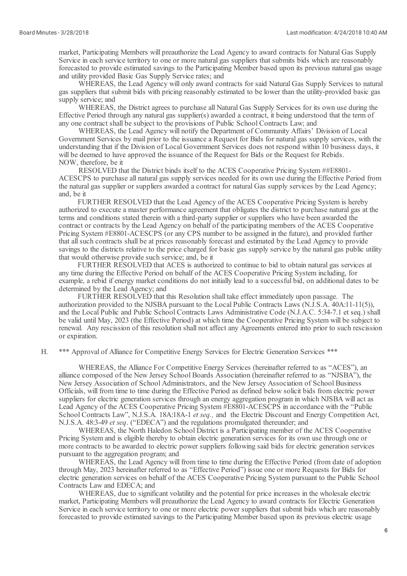market, Participating Members will preauthorize the Lead Agency to award contracts for Natural Gas Supply Service in each service territory to one or more natural gas suppliers that submits bids which are reasonably forecasted to provide estimated savings to the Participating Member based upon its previous natural gas usage and utility provided Basic Gas Supply Service rates; and

WHEREAS, the Lead Agency will only award contracts for said Natural Gas Supply Services to natural gas suppliers that submit bids with pricing reasonably estimated to be lower than the utility-provided basic gas supply service; and

WHEREAS, the District agrees to purchase all Natural Gas Supply Services for its own use during the Effective Period through any natural gas supplier(s) awarded a contract, it being understood that the term of any one contract shall be subject to the provisions of Public School Contracts Law; and

WHEREAS, the Lead Agency will notify the Department of Community Affairs' Division of Local Government Services by mail prior to the issuance a Request for Bids for natural gas supply services, with the understanding that if the Division of Local Government Services does not respond within 10 business days, it will be deemed to have approved the issuance of the Request for Bids or the Request for Rebids. NOW, therefore, be it

RESOLVED that the District binds itself to the ACES Cooperative Pricing System ##E8801- ACESCPS to purchase all natural gas supply services needed for its own use during the Effective Period from the natural gas supplier or suppliers awarded a contract for natural Gas supply services by the Lead Agency; and, be it

FURTHER RESOLVED that the Lead Agency of the ACES Cooperative Pricing System is hereby authorized to execute a master performance agreement that obligates the district to purchase natural gas at the terms and conditions stated therein with a third-party supplier or suppliers who have been awarded the contract or contracts by the Lead Agency on behalf of the participating members of the ACES Cooperative Pricing System #E8801-ACESCPS (or any CPS number to be assigned in the future), and provided further that all such contracts shall be at prices reasonably forecast and estimated by the Lead Agency to provide savings to the districts relative to the price charged for basic gas supply service by the natural gas public utility that would otherwise provide such service; and, be it

FURTHER RESOLVED that ACES is authorized to continue to bid to obtain natural gas services at any time during the Effective Period on behalf of the ACES Cooperative Pricing System including, for example, a rebid if energy market conditions do not initially lead to a successful bid, on additional dates to be determined by the Lead Agency; and

FURTHER RESOLVED that this Resolution shall take effect immediately upon passage. The authorization provided to the NJSBA pursuant to the Local Public Contracts Laws (N.J.S.A. 40A:11-11(5)), and the Local Public and Public School Contracts Laws Administrative Code (N.J.A.C. 5:34-7.1 et seq.) shall be valid until May, 2023 (the Effective Period) at which time the Cooperative Pricing System will be subject to renewal. Any rescission of this resolution shall not affect any Agreements entered into prior to such rescission or expiration.

H. \*\*\* Approval of Alliance for Competitive Energy Services for Electric Generation Services \*\*\*

WHEREAS, the Alliance For Competitive Energy Services (hereinafter referred to as "ACES"), an alliance composed of the New Jersey School Boards Association (hereinafter referred to as "NJSBA"), the New Jersey Association of School Administrators, and the New Jersey Association of School Business Officials, will from time to time during the Effective Period as defined below solicit bids from electric power suppliers for electric generation services through an energy aggregation program in which NJSBA will act as Lead Agency of the ACES Cooperative Pricing System #E8801-ACESCPS in accordance with the "Public School Contracts Law", N.J.S.A*.* 18A:18A-1 *et seq.,* and the Electric Discount and Energy Competition Act, N.J.S.A. 48:3-49 *et seq*. ("EDECA") and the regulations promulgated thereunder; and

WHEREAS, the North Haledon School District is a Participating member of the ACES Cooperative Pricing System and is eligible thereby to obtain electric generation services for its own use through one or more contracts to be awarded to electric power suppliers following said bids for electric generation services pursuant to the aggregation program; and

WHEREAS, the Lead Agency will from time to time during the Effective Period (from date of adoption through May, 2023 hereinafter referred to as "Effective Period") issue one or more Requests for Bids for electric generation services on behalf of the ACES Cooperative Pricing System pursuant to the Public School Contracts Law and EDECA; and

WHEREAS, due to significant volatility and the potential for price increases in the wholesale electric market, Participating Members will preauthorize the Lead Agency to award contracts for Electric Generation Service in each service territory to one or more electric power suppliers that submit bids which are reasonably forecasted to provide estimated savings to the Participating Member based upon its previous electric usage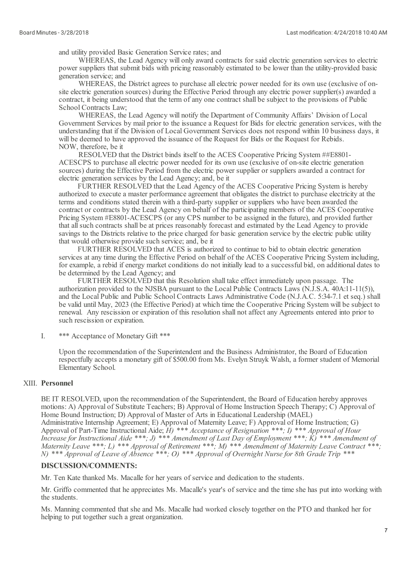and utility provided Basic Generation Service rates; and

WHEREAS, the Lead Agency will only award contracts for said electric generation services to electric power suppliers that submit bids with pricing reasonably estimated to be lower than the utility-provided basic generation service; and

WHEREAS, the District agrees to purchase all electric power needed for its own use (exclusive of onsite electric generation sources) during the Effective Period through any electric power supplier(s) awarded a contract, it being understood that the term of any one contract shall be subject to the provisions of Public School Contracts Law;

WHEREAS, the Lead Agency will notify the Department of Community Affairs' Division of Local Government Services by mail prior to the issuance a Request for Bids for electric generation services, with the understanding that if the Division of Local Government Services does not respond within 10 business days, it will be deemed to have approved the issuance of the Request for Bids or the Request for Rebids. NOW, therefore, be it

RESOLVED that the District binds itself to the ACES Cooperative Pricing System ##E8801- ACESCPS to purchase allelectric power needed for its own use (exclusive of on-site electric generation sources) during the Effective Period from the electric power supplier or suppliers awarded a contract for electric generation services by the Lead Agency; and, be it

FURTHER RESOLVED that the Lead Agency of the ACES Cooperative Pricing System is hereby authorized to execute a master performance agreement that obligates the district to purchase electricity at the terms and conditions stated therein with a third-party supplier or suppliers who have been awarded the contract or contracts by the Lead Agency on behalf of the participating members of the ACES Cooperative Pricing System #E8801-ACESCPS (or any CPS number to be assigned in the future), and provided further that all such contracts shall be at prices reasonably forecast and estimated by the Lead Agency to provide savings to the Districts relative to the price charged for basic generation service by the electric public utility that would otherwise provide such service; and, be it

FURTHER RESOLVED that ACES is authorized to continue to bid to obtain electric generation services at any time during the Effective Period on behalf of the ACES Cooperative Pricing System including, for example, a rebid if energy market conditions do not initially lead to a successful bid, on additional dates to be determined by the Lead Agency; and

FURTHER RESOLVED that this Resolution shall take effect immediately upon passage. The authorization provided to the NJSBA pursuant to the Local Public Contracts Laws (N.J.S.A. 40A:11-11(5)), and the Local Public and Public School Contracts Laws Administrative Code (N.J.A.C. 5:34-7.1 et seq.) shall be valid until May, 2023 (the Effective Period) at which time the Cooperative Pricing System will be subject to renewal. Any rescission or expiration of this resolution shall not affect any Agreements entered into prior to such rescission or expiration.

I. \*\*\* Acceptance of Monetary Gift \*\*\*

> Upon the recommendation of the Superintendent and the Business Administrator, the Board of Education respectfully accepts a monetary gift of \$500.00 from Ms. Evelyn Struyk Walsh, a former student of Memorial Elementary School.

# XIII. **Personnel**

BE IT RESOLVED, upon the recommendation of the Superintendent, the Board of Education hereby approves motions: A) Approval of Substitute Teachers; B) Approval of Home Instruction Speech Therapy; C) Approval of Home Bound Instruction; D) Approval of Master of Arts in Educational Leadership (MAEL) Administrative Internship Agreement; E) Approval of Maternity Leave; F) Approval of Home Instruction; G) Approval of Part-Time Instructional Aide; *H) \*\*\* Acceptance of Resignation \*\*\*; I) \*\*\* Approval of Hour* Increase for Instructional Aide \*\*\*; J) \*\*\* Amendment of Last Day of Employment \*\*\*;  $\overline{K}$ ) \*\*\* Amendment of *Maternity Leave \*\*\*; L) \*\*\* Approval of Retirement \*\*\*; M) \*\*\* Amendment of Maternity Leave Contract \*\*\*;* N) \*\*\* Approval of Leave of Absence \*\*\*; O) \*\*\* Approval of Overnight Nurse for 8th Grade Trip \*\*\*

### **DISCUSSION/COMMENTS:**

Mr. Ten Kate thanked Ms. Macalle for her years of service and dedication to the students.

Mr. Griffo commented that he appreciates Ms. Macalle's year's of service and the time she has put into working with the students.

Ms. Manning commented that she and Ms. Macalle had worked closely together on the PTO and thanked her for helping to put together such a great organization.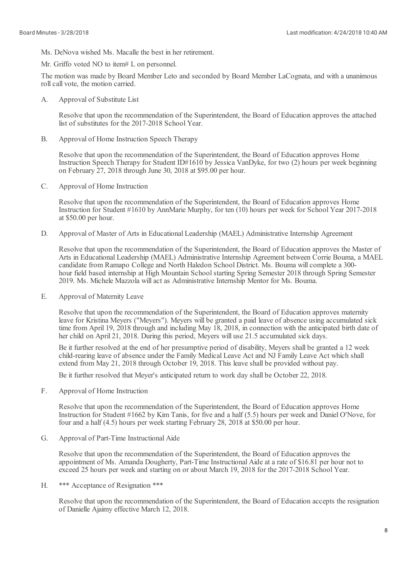Ms. DeNova wished Ms. Macalle the best in her retirement.

Mr. Griffo voted NO to item# L on personnel.

The motion was made by Board Member Leto and seconded by Board Member LaCognata, and with a unanimous roll call vote, the motion carried.

A. Approval of Substitute List

> Resolve that upon the recommendation of the Superintendent, the Board of Education approves the attached list of substitutes for the 2017-2018 School Year.

B. Approval of Home Instruction Speech Therapy

> Resolve that upon the recommendation of the Superintendent, the Board of Education approves Home Instruction Speech Therapy for Student ID#1610 by Jessica VanDyke, for two (2) hours per week beginning on February 27, 2018 through June 30, 2018 at \$95.00 per hour.

C. Approval of Home Instruction

> Resolve that upon the recommendation of the Superintendent, the Board of Education approves Home Instruction for Student #1610 by AnnMarie Murphy, for ten (10) hours per week for School Year 2017-2018 at \$50.00 per hour.

D. Approval of Master of Arts in Educational Leadership (MAEL) Administrative Internship Agreement

Resolve that upon the recommendation of the Superintendent, the Board of Education approves the Master of Arts in Educational Leadership (MAEL) Administrative Internship Agreement between Corrie Bouma, a MAEL candidate from Ramapo College and North Haledon School District. Ms. Bouma willcomplete a 300 hour field based internship at High Mountain School starting Spring Semester 2018 through Spring Semester 2019. Ms. Michele Mazzola willact as Administrative Internship Mentor for Ms. Bouma.

E. Approval of Maternity Leave

> Resolve that upon the recommendation of the Superintendent, the Board of Education approves maternity leave for Kristina Meyers ("Meyers"). Meyers will be granted a paid leave of absence using accumulated sick time from April 19, 2018 through and including May 18, 2018, in connection with the anticipated birth date of her child on April 21, 2018. During this period, Meyers will use 21.5 accumulated sick days.

Be it further resolved at the end of her presumptive period of disability, Meyers shall be granted a 12 week child-rearing leave of absence under the Family Medical Leave Act and NJ Family Leave Act which shall extend from May 21, 2018 through October 19, 2018. This leave shall be provided without pay.

Be it further resolved that Meyer's anticipated return to work day shall be October 22, 2018.

F. Approval of Home Instruction

> Resolve that upon the recommendation of the Superintendent, the Board of Education approves Home Instruction for Student #1662 by Kim Tanis, for five and a half (5.5) hours per week and Daniel O'Nove, for four and a half (4.5) hours per week starting February 28, 2018 at \$50.00 per hour.

G. Approval of Part-Time Instructional Aide

> Resolve that upon the recommendation of the Superintendent, the Board of Education approves the appointment of Ms. Amanda Dougherty, Part-Time Instructional Aide at a rate of \$16.81 per hour not to exceed 25 hours per week and starting on or about March 19, 2018 for the 2017-2018 School Year.

H. \*\*\* Acceptance of Resignation \*\*\*

> Resolve that upon the recommendation of the Superintendent, the Board of Education accepts the resignation of Danielle Ajaimy effective March 12, 2018.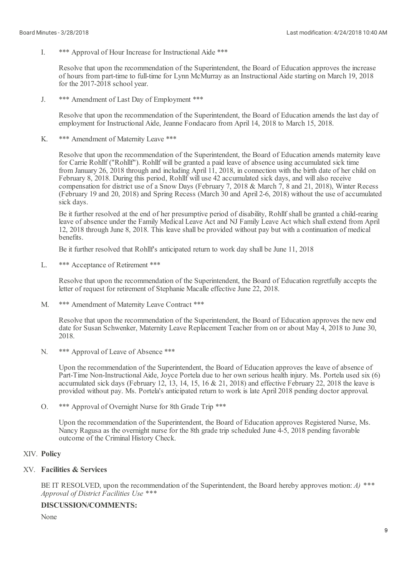I. \*\*\* Approval of Hour Increase for Instructional Aide \*\*\*

Resolve that upon the recommendation of the Superintendent, the Board of Education approves the increase of hours from part-time to full-time for Lynn McMurray as an Instructional Aide starting on March 19, 2018 for the 2017-2018 school year.

J. \*\*\* Amendment of Last Day of Employment \*\*\*

> Resolve that upon the recommendation of the Superintendent, the Board of Education amends the last day of employment for Instructional Aide, Jeanne Fondacaro from April 14, 2018 to March 15, 2018.

K. \*\*\* Amendment of Maternity Leave \*\*\*

> Resolve that upon the recommendation of the Superintendent, the Board of Education amends maternity leave for Carrie Rohllf ("Rohllf"). Rohllf will be granted a paid leave of absence using accumulated sick time from January 26, 2018 through and including April 11, 2018, in connection with the birth date of her child on February 8, 2018. During this period, Rohllf will use 42 accumulated sick days, and willalso receive compensation for district use of a Snow Days (February 7, 2018 & March 7, 8 and 21, 2018), Winter Recess (February 19 and 20, 2018) and Spring Recess (March 30 and April 2-6, 2018) without the use of accumulated sick days.

> Be it further resolved at the end of her presumptive period of disability, Rohllf shall be granted a child-rearing leave of absence under the Family Medical Leave Act and NJ Family Leave Act which shallextend from April 12, 2018 through June 8, 2018. This leave shall be provided without pay but with a continuation of medical benefits.

Be it further resolved that Rohllf's anticipated return to work day shall be June 11, 2018

 $L$ \*\*\* Acceptance of Retirement \*\*\*

> Resolve that upon the recommendation of the Superintendent, the Board of Education regretfully accepts the letter of request for retirement of Stephanie Macalle effective June 22, 2018.

M. \*\*\* Amendment of Maternity Leave Contract \*\*\*

> Resolve that upon the recommendation of the Superintendent, the Board of Education approves the new end date for Susan Schwenker, Maternity Leave Replacement Teacher from on or about May 4, 2018 to June 30, 2018.

N. \*\*\* Approval of Leave of Absence \*\*\*

> Upon the recommendation of the Superintendent, the Board of Education approves the leave of absence of Part-Time Non-Instructional Aide, Joyce Portela due to her own serious health injury. Ms. Portela used six (6) accumulated sick days (February 12, 13, 14, 15, 16 & 21, 2018) and effective February 22, 2018 the leave is provided without pay. Ms. Portela's anticipated return to work is late April 2018 pending doctor approval.

O. \*\*\* Approval of Overnight Nurse for 8th Grade Trip \*\*\*

Upon the recommendation of the Superintendent, the Board of Education approves Registered Nurse, Ms. Nancy Ragusa as the overnight nurse for the 8th grade trip scheduled June 4-5, 2018 pending favorable outcome of the Criminal History Check.

## XIV. **Policy**

# XV. **Facilities & Services**

BE IT RESOLVED, upon the recommendation of the Superintendent, the Board hereby approves motion: *A) \*\*\* Approval of District Facilities Use \*\*\**

## **DISCUSSION/COMMENTS:**

None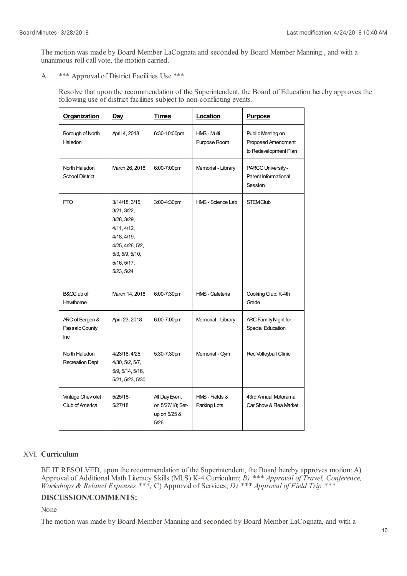The motion was made by Board Member LaCognata and seconded by Board Member Manning , and with a unanimous roll call vote, the motion carried.

A. \*\*\* Approval of District Facilities Use \*\*\*

> Resolve that upon the recommendation of the Superintendent, the Board of Education hereby approves the following use of district facilities subject to non-conflicting events.

| <b>Organization</b>                      | <b>Day</b>                                                                                                                                     | <b>Times</b>                                              | Location                       | <b>Purpose</b>                                                   |
|------------------------------------------|------------------------------------------------------------------------------------------------------------------------------------------------|-----------------------------------------------------------|--------------------------------|------------------------------------------------------------------|
| Borough of North<br>Haledon              | April 4, 2018                                                                                                                                  | 6:30-10:00pm                                              | HMS - Multi<br>Purpose Room    | Public Meeting on<br>Proposed Amendment<br>to Redevelopment Plan |
| North Haledon<br>School District         | March 26, 2018                                                                                                                                 | 6:00-7:00pm                                               | Memorial - Library             | PARCC University-<br>Parent Informational<br>Session             |
| <b>PTO</b>                               | 3/14/18, 3/15,<br>3/21, 3/22,<br>3/28, 3/29,<br>4/11, 4/12,<br>4/18, 4/19,<br>4/25, 4/26, 5/2,<br>5/3, 5/9, 5/10,<br>5/16, 5/17,<br>5/23, 5/24 | 3:00-4:30pm                                               | HMS - Science Lab              | <b>STEM Club</b>                                                 |
| B&GClub of<br>Hawthorne                  | March 14, 2018                                                                                                                                 | 6:00-7:30pm                                               | HMS - Cafeteria                | Cooking Club: K-4th<br>Grade                                     |
| ARC of Bergen &<br>Passaic County<br>Inc | April 23, 2018                                                                                                                                 | 6:00-7:00pm                                               | Memorial - Library             | ARC Family Night for<br>Special Education                        |
| North Haledon<br><b>Recreation Dept</b>  | 4/23/18, 4/25,<br>4/30, 5/2, 5/7,<br>5/9, 5/14, 5/16,<br>5/21, 5/23, 5/30                                                                      | 5:30-7:30pm                                               | Memorial - Gym                 | Rec Volleyball Clinic                                            |
| Vintage Chevrolet<br>Club of America     | 5/25/18-<br>5/27/18                                                                                                                            | All Day Event<br>on 5/27/18; Set-<br>up on 5/25 &<br>5/26 | HMS - Fields &<br>Parking Lots | 43rd Annual Motorama<br>Car Show & Flea Market                   |

# XVI. **Curriculum**

BE IT RESOLVED, upon the recommendation of the Superintendent, the Board hereby approves motion: A) Approval of Additional Math Literacy Skills (MLS) K-4 Curriculum; B) \*\*\* Approval of Travel, Conference, Workshops & Related Expenses \*\*\*; C) Approval of Services; D) \*\*\* Approval of Field Trip \*\*\*

# **DISCUSSION/COMMENTS:**

None

The motion was made by Board Member Manning and seconded by Board Member LaCognata, and with a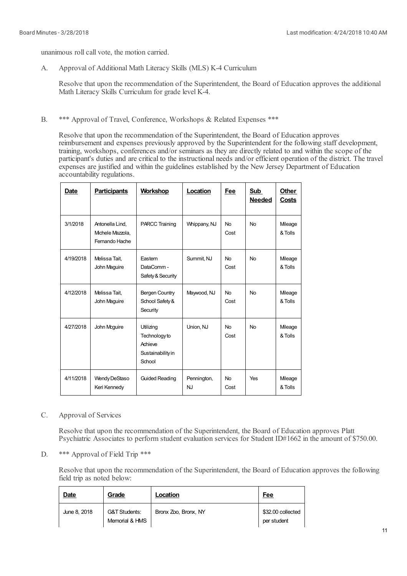unanimous roll call vote, the motion carried.

A. Approval of Additional Math Literacy Skills (MLS) K-4 Curriculum

Resolve that upon the recommendation of the Superintendent, the Board of Education approves the additional Math Literacy Skills Curriculum for grade level K-4.

B. \*\*\* Approval of Travel, Conference, Workshops & Related Expenses \*\*\*

Resolve that upon the recommendation of the Superintendent, the Board of Education approves reimbursement and expenses previously approved by the Superintendent for the following staff development, training, workshops, conferences and/or seminars as they are directly related to and within the scope of the participant's duties and are critical to the instructional needs and/or efficient operation of the district. The travel expenses are justified and within the guidelines established by the New Jersey Department of Education accountability regulations.

| Date      | <b>Participants</b>                                   | <b>Workshop</b>                                                      | Location                 | Fee               | Sub<br><b>Needed</b> | Other<br>Costs    |
|-----------|-------------------------------------------------------|----------------------------------------------------------------------|--------------------------|-------------------|----------------------|-------------------|
| 3/1/2018  | Antonella Lind.<br>Michele Mazzola,<br>Fernando Hache | <b>PARCC Training</b>                                                | Whippany, NJ             | <b>No</b><br>Cost | <b>No</b>            | Mleage<br>& Tolls |
| 4/19/2018 | Melissa Tait,<br>John Maguire                         | Eastern<br>DataComm-<br>Safety & Security                            | Summit, NJ               | No<br>Cost        | <b>No</b>            | Mleage<br>& Tolls |
| 4/12/2018 | Melissa Tait,<br>John Maguire                         | <b>Bergen Country</b><br>School Safety &<br>Security                 | Maywood, NJ              | No<br>Cost        | <b>No</b>            | Mleage<br>& Tolls |
| 4/27/2018 | John Mcguire                                          | Utilizing<br>Technology to<br>Achieve<br>Sustainability in<br>School | Union, NJ                | No<br>Cost        | <b>No</b>            | Mleage<br>& Tolls |
| 4/11/2018 | Wendy DeStaso<br>Keri Kennedy                         | <b>Guided Reading</b>                                                | Pennington,<br><b>NJ</b> | No<br>Cost        | Yes                  | Mleage<br>& Tolls |

#### C. Approval of Services

Resolve that upon the recommendation of the Superintendent, the Board of Education approves Platt Psychiatric Associates to perform student evaluation services for Student ID#1662 in the amount of \$750.00.

D. \*\*\* Approval of Field Trip \*\*\*

> Resolve that upon the recommendation of the Superintendent, the Board of Education approves the following field trip as noted below:

| Date         | Grade                                      | Location             | <b>Fee</b>                       |
|--------------|--------------------------------------------|----------------------|----------------------------------|
| June 8, 2018 | <b>G&amp;T Students:</b><br>Memorial & HMS | Bronx Zoo, Bronx, NY | \$32.00 collected<br>per student |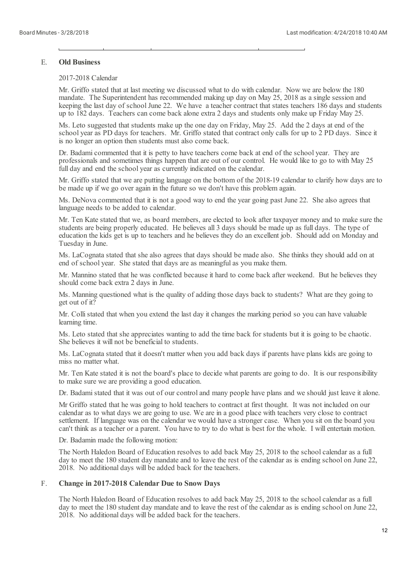#### E. **Old Business**

#### 2017-2018 Calendar

Mr. Griffo stated that at last meeting we discussed what to do with calendar. Now we are below the 180 mandate. The Superintendent has recommended making up day on May 25, 2018 as a single session and keeping the last day of school June 22. We have a teacher contract that states teachers 186 days and students up to 182 days. Teachers can come back alone extra 2 days and students only make up Friday May 25.

Ms. Leto suggested that students make up the one day on Friday, May 25. Add the 2 days at end of the school year as PD days for teachers. Mr. Griffo stated that contract only calls for up to 2 PD days. Since it is no longer an option then students must also come back.

Dr. Badami commented that it is petty to have teachers come back at end of the school year. They are professionals and sometimes things happen that are out of our control. He would like to go to with May 25 full day and end the school year as currently indicated on the calendar.

Mr. Griffo stated that we are putting language on the bottom of the 2018-19 calendar to clarify how days are to be made up if we go over again in the future so we don't have this problem again.

Ms. DeNova commented that it is not a good way to end the year going past June 22. She also agrees that language needs to be added to calendar.

Mr. Ten Kate stated that we, as board members, are elected to look after taxpayer money and to make sure the students are being properly educated. He believes all 3 days should be made up as full days. The type of education the kids get is up to teachers and he believes they do an excellent job. Should add on Monday and Tuesday in June.

Ms. LaCognata stated that she also agrees that days should be made also. She thinks they should add on at end of school year. She stated that days are as meaningfulas you make them.

Mr. Mannino stated that he was conflicted because it hard to come back after weekend. But he believes they should come back extra 2 days in June.

Ms. Manning questioned what is the quality of adding those days back to students? What are they going to get out of it?

Mr. Colli stated that when you extend the last day it changes the marking period so you can have valuable learning time.

Ms. Leto stated that she appreciates wanting to add the time back for students but it is going to be chaotic. She believes it will not be beneficial to students.

Ms. LaCognata stated that it doesn't matter when you add back days if parents have plans kids are going to miss no matter what.

Mr. Ten Kate stated it is not the board's place to decide what parents are going to do. It is our responsibility to make sure we are providing a good education.

Dr. Badami stated that it was out of our controland many people have plans and we should just leave it alone.

Mr Griffo stated that he was going to hold teachers to contract at first thought. It was not included on our calendar as to what days we are going to use. We are in a good place with teachers very close to contract settlement. If language was on the calendar we would have a stronger case. When you sit on the board you can't think as a teacher or a parent. You have to try to do what is best for the whole. I willentertain motion.

Dr. Badamin made the following motion:

The North Haledon Board of Education resolves to add back May 25, 2018 to the schoolcalendar as a full day to meet the 180 student day mandate and to leave the rest of the calendar as is ending school on June 22, 2018. No additional days will be added back for the teachers.

#### F. **Change in 2017-2018 Calendar Due to Snow Days**

The North Haledon Board of Education resolves to add back May 25, 2018 to the schoolcalendar as a full day to meet the 180 student day mandate and to leave the rest of the calendar as is ending school on June 22, 2018. No additional days will be added back for the teachers.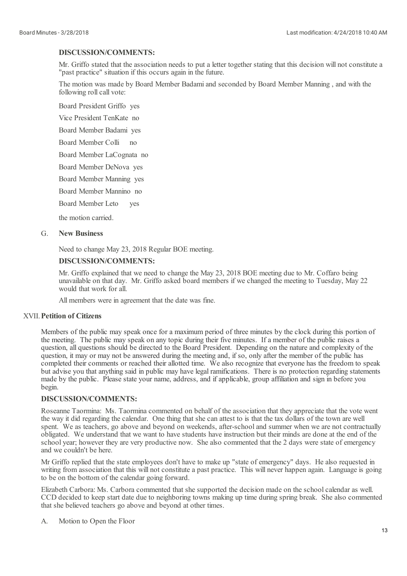### **DISCUSSION/COMMENTS:**

Mr. Griffo stated that the association needs to put a letter together stating that this decision will not constitute a "past practice" situation if this occurs again in the future.

The motion was made by Board Member Badamiand seconded by Board Member Manning , and with the following roll call vote:

Board President Griffo yes

Vice President TenKate no

Board Member Badami yes

Board Member Colli no

Board Member LaCognata no

Board Member DeNova yes

Board Member Manning yes

Board Member Mannino no

Board Member Leto yes

the motion carried.

#### G. **New Business**

Need to change May 23, 2018 Regular BOE meeting.

#### **DISCUSSION/COMMENTS:**

Mr. Griffo explained that we need to change the May 23, 2018 BOE meeting due to Mr. Coffaro being unavailable on that day. Mr. Griffo asked board members if we changed the meeting to Tuesday, May 22 would that work for all.

All members were in agreement that the date was fine.

# XVII. **Petition of Citizens**

Members of the public may speak once for a maximum period of three minutes by the clock during this portion of the meeting. The public may speak on any topic during their five minutes. If a member of the public raises a question, all questions should be directed to the Board President. Depending on the nature and complexity of the question, it may or may not be answered during the meeting and, if so, only after the member of the public has completed their comments or reached their allotted time. We also recognize that everyone has the freedom to speak but advise you that anything said in public may have legal ramifications. There is no protection regarding statements made by the public. Please state your name, address, and if applicable, group affiliation and sign in before you begin.

### **DISCUSSION/COMMENTS:**

Roseanne Taormina: Ms. Taormina commented on behalf of the association that they appreciate that the vote went the way it did regarding the calendar. One thing that she can attest to is that the tax dollars of the town are well spent. We as teachers, go above and beyond on weekends, after-school and summer when we are not contractually obligated. We understand that we want to have students have instruction but their minds are done at the end of the school year; however they are very productive now. She also commented that the 2 days were state of emergency and we couldn't be here.

Mr Griffo replied that the state employees don't have to make up "state of emergency" days. He also requested in writing from association that this will not constitute a past practice. This will never happen again. Language is going to be on the bottom of the calendar going forward.

Elizabeth Carbora: Ms. Carbora commented that she supported the decision made on the schoolcalendar as well. CCD decided to keep start date due to neighboring towns making up time during spring break. She also commented that she believed teachers go above and beyond at other times.

A. Motion to Open the Floor